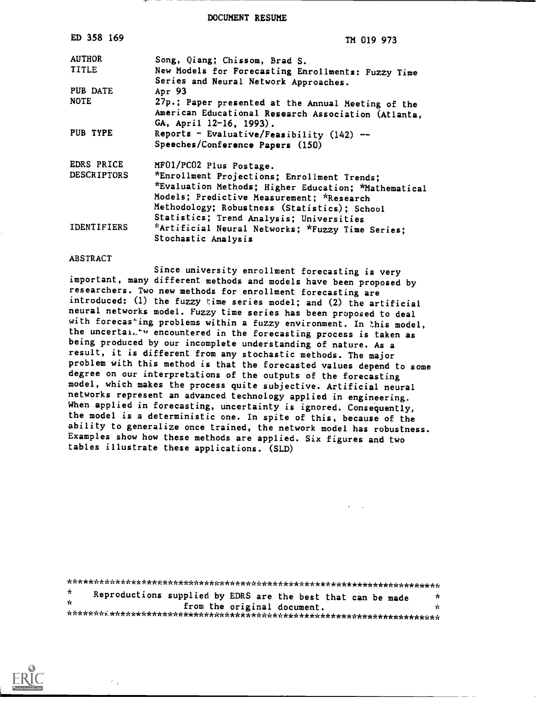DOCUMENT RESUME

| ED 358 169         | TM 019 973                                                                                  |
|--------------------|---------------------------------------------------------------------------------------------|
| <b>AUTHOR</b>      | Song, Qiang; Chissom, Brad S.                                                               |
| TITLE              | New Models for Forecasting Enrollments: Fuzzy Time<br>Series and Neural Network Approaches. |
| PUB DATE           | Apr 93                                                                                      |
| <b>NOTE</b>        | 27p.; Paper presented at the Annual Meeting of the                                          |
|                    | American Educational Research Association (Atlanta,<br>GA, April 12-16, 1993).              |
| PUB TYPE           | Reports - Evaluative/Feasibility $(142)$ --                                                 |
|                    | Speeches/Conference Papers (150)                                                            |
| EDRS PRICE         | MF01/PC02 Plus Postage.                                                                     |
| <b>DESCRIPTORS</b> | *Enrollment Projections; Enrollment Trends;                                                 |
|                    | *Evaluation Methods; Higher Education; *Mathematical                                        |
|                    | Models; Predictive Measurement; *Research                                                   |
|                    | Methodology; Robustness (Statistics); School                                                |
| <b>IDENTIFIERS</b> | Statistics; Trend Analysis; Universities                                                    |
|                    | *Artificial Neural Networks; *Fuzzy Time Series;<br>Stochastic Analysis                     |
|                    |                                                                                             |

#### ABSTRACT

Since university enrollment forecasting is very important, many different methods and models have been proposed by researchers. Two new methods for enrollment forecasting are introduced: (1) the fuzzy time series model; and (2) the artificial neural networks model. Fuzzy time series has been proposed to deal with forecas'ing problems within a fuzzy environment. In this model, the uncertai. "v encountered in the forecasting process is taken as being produced by our incomplete understanding of nature. As a result, it is different from any stochastic methods. The major problem with this method is that the forecasted values depend to some degree on our interpretations of the outputs of the forecasting model, which makes the process quite subjective. Artificial neural networks represent an advanced technology applied in engineering. When applied in forecasting, uncertainty is ignored. Consequently, the model is a deterministic one. In spite of this, because of the ability to generalize once trained, the network model has robustness. Examples show how these methods are applied. Six figures and two tables illustrate these applications. (SLD)

| $\star$ | Reproductions supplied by EDRS are the best that can be made |  |                             | x  |  |
|---------|--------------------------------------------------------------|--|-----------------------------|----|--|
| v.      |                                                              |  | from the original document. | ÷. |  |
|         |                                                              |  |                             |    |  |

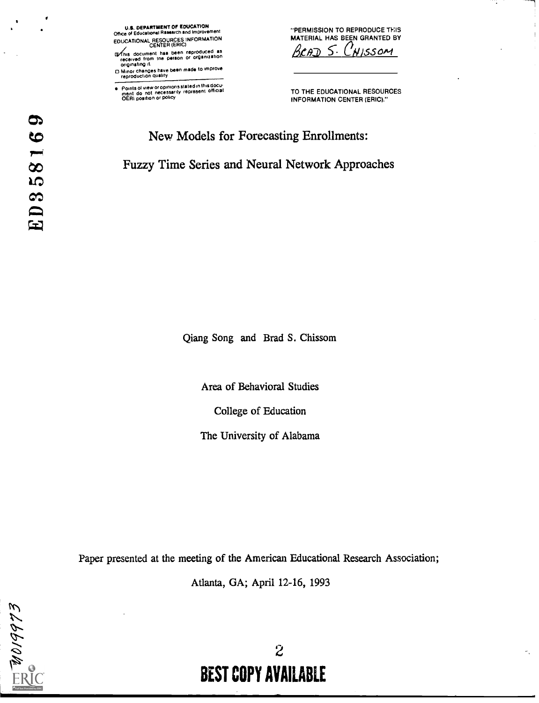

fhis document has been reproduced as<br>received from the person or organization<br>originating it.

ID Minor changes have been made to improve reproduction quality

Points of view or opinions slated in this docu- ment do not necessarily represent official OERI positron or policy  $\bullet$ 

"PERMISSION TO REPRODUCE THIS MATERIAL HAS BEEN GRANTED BY<br> $\beta$ CAD S. CNISSOM CHISSOM

TO THE EDUCATIONAL RESOURCES INFORMATION CENTER (ERIC)."

# New Models for Forecasting Enrollments: Fuzzy Time Series and Neural Network Approaches

Qiang Song and Brad S. Chissom

Area of Behavioral Studies

College of Education

The University of Alabama

Paper presented at the meeting of the American Educational Research Association;

Atlanta, GA; April 12-16, 1993

 $\boldsymbol{\sigma}$ 

ED35816

# $2 \sim 2$ BEST COPY AVAILABLE

÷.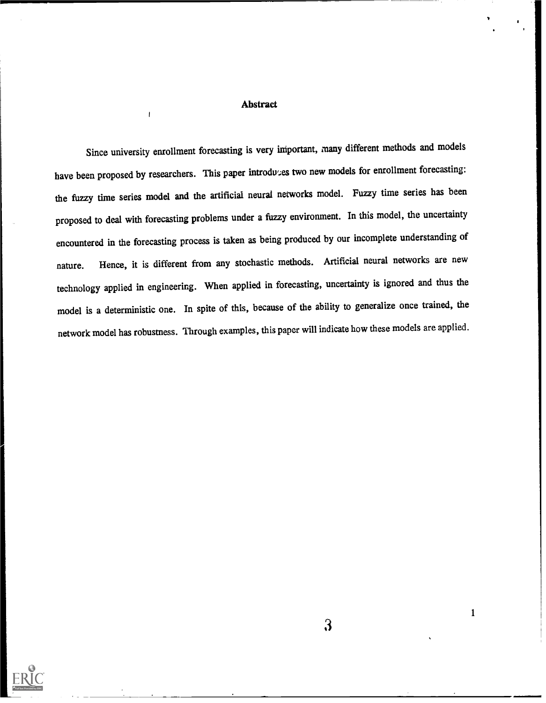# Abstract

 $\overline{1}$ 

Since university enrollment forecasting is very important, many different methods and models have been proposed by researchers. This paper introduces two new models for enrollment forecasting: the fuzzy time series model and the artificial neural networks model. Fuzzy time series has been proposed to deal with forecasting problems under a fuzzy environment. In this model, the uncertainty encountered in the forecasting process is taken as being produced by our incomplete understanding of nature. Hence, it is different from any stochastic methods. Artificial neural networks are new technology applied in engineering. When applied in forecasting, uncertainty is ignored and thus the model is a deterministic one. In spite of this, because of the ability to generalize once trained, the network model has robustness. Through examples, this paper will indicate how these models are applied.



3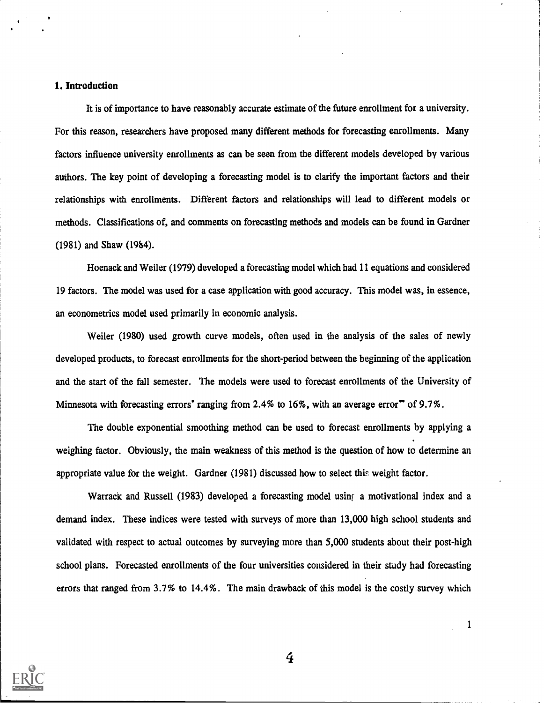# 1. Introduction

It is of importance to have reasonably accurate estimate of the future enrollment for a university. For this reason, researchers have proposed many different methods for forecasting enrollments. Many factors influence university enrollments as can be seen from the different models developed by various authors. The key point of developing a forecasting model is to clarify the important factors and their relationships with enrollments. Different factors and relationships will lead to different models or methods. Classifications of, and comments on forecasting methods and models can be found in Gardner (1981) and Shaw (1984).

Hoenack and Weiler (1979) developed a forecasting model which had 11 equations and considered 19 factors. The model was used for a case application with good accuracy. This model was, in essence, an econometrics model used primarily in economic analysis.

Weiler (1980) used growth curve models, often used in the analysis of the sales of newly developed products, to forecast enrollments for the short-period between the beginning of the application and the start of the fall semester. The models were used to forecast enrollments of the University of Minnesota with forecasting errors' ranging from 2.4% to 16%, with an average error" of 9.7%.

The double exponential smoothing method can be used to forecast enrollments by applying a weighing factor. Obviously, the main weakness of this method is the question of how to determine an appropriate value for the weight. Gardner (1981) discussed how to select this weight factor.

Warrack and Russell (1983) developed a forecasting model using a motivational index and a demand index. These indices were tested with surveys of more than 13,000 high school students and validated with respect to actual outcomes by surveying more than 5,000 students about their post-high school plans. Forecasted enrollments of the four universities considered in their study had forecasting errors that ranged from 3.7% to 14.4%. The main drawback of this model is the costly survey which

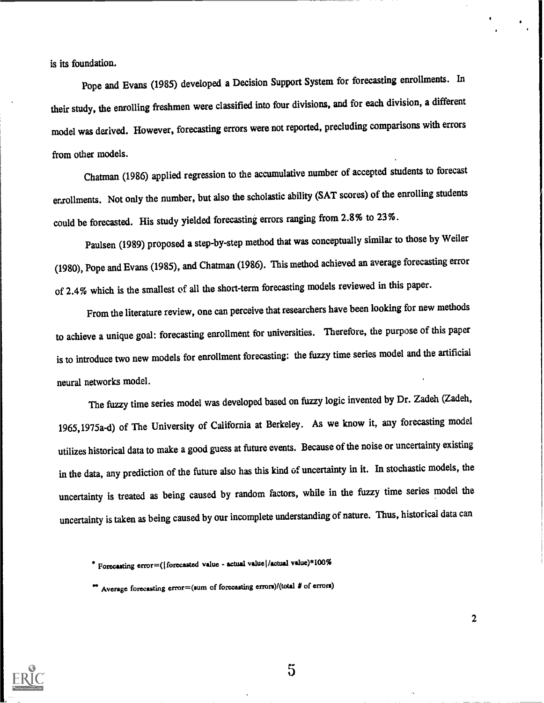is its foundation.

Pope and Evans (1985) developed a Decision Support System for forecasting enrollments. In their study, the enrolling freshmen were classified into four divisions, and for each division, a different model was derived. However, forecasting errors were not reported, precluding comparisons with errors from other models.

Chatman (1986) applied regression to the accumulative number of accepted students to forecast errollments. Not only the number, but also the scholastic ability (SAT scores) of the enrolling students could be forecasted. His study yielded forecasting errors ranging from 2.8% to 23%.

Paulsen (1989) proposed a step-by-step method that was conceptually similar to those by Weiler (1980), Pope and Evans (1985), and Chatman (1986). This method achieved an average forecasting error of 2.4% which is the smallest of all the short-term forecasting models reviewed in this paper.

From the literature review, one can perceive that researchers have been looking for new methods to achieve a unique goal: forecasting enrollment for universities. Therefore, the purpose of this paper is to introduce two new models for enrollment forecasting: the fuzzy time series model and the artificial neural networks model.

The fuzzy time series model was developed based on fuzzy logic invented by Dr. Zadeh (Zadeh, 1965,1975a-d) of The University of California at Berkeley. As we know it, any forecasting model utilizes historical data to make a good guess at future events. Because of the noise or uncertainty existing in the data, any prediction of the future also has this kind of uncertainty in it. In stochastic models, the uncertainty is treated as being caused by random factors, while in the fuzzy time series model the uncertainty is taken as being caused by our incomplete understanding of nature. Thus, historical data can



5

Forecasting error=( $|$  forecasted value - actual value)/actual value)\*100%

es Average forecasting error=(sum of forecasting errors)/(total # of errors)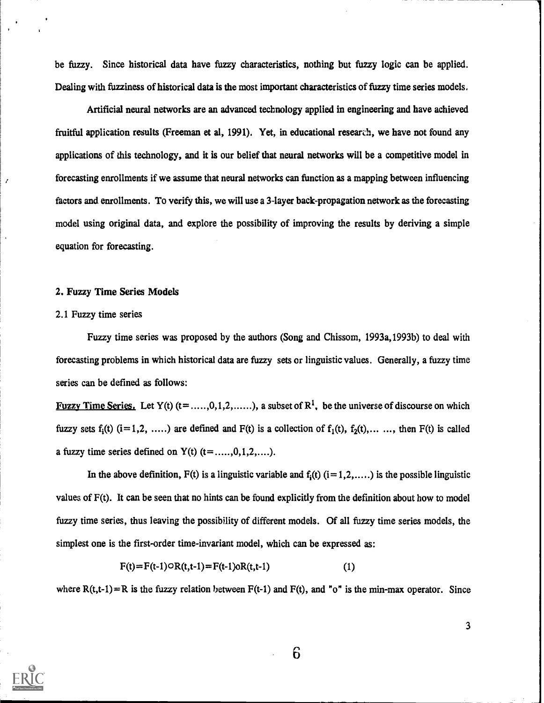be fuzzy. Since historical data have fuzzy characteristics, nothing but fuzzy logic can be applied. Dealing with fuzziness of historical data is the most important characteristics of fuzzy time series models.

Artificial neural networks are an advanced technology applied in engineering and have achieved fruitful application results (Freeman et al, 1991). Yet, in educational research, we have not found any applications of this technology, and it is our belief that neural networks will be a competitive model in forecasting enrollments if we assume that neural networks can function as a mapping between influencing factors and enrollments. To verify this, we will use a 3-layer back-propagation network as the forecasting model using original data, and explore the possibility of improving the results by deriving a simple equation for forecasting.

#### 2. Fuzzy Time Series Models

#### 2.1 Fuzzy time series

Ź

Fuzzy time series was proposed by the authors (Song and Chissom, 1993a,1993b) to deal with forecasting problems in which historical data are fuzzy sets or linguistic values. Generally, a fuzzy time series can be defined as follows:

Fuzzy Time Series. Let Y(t) ( $t =$ ....,0,1,2,.....), a subset of R<sup>1</sup>, be the universe of discourse on which fuzzy sets  $f_i(t)$  (i=1,2, ....) are defined and  $F(t)$  is a collection of  $f_1(t)$ ,  $f_2(t)$ ,... ..., then  $F(t)$  is called a fuzzy time series defined on  $Y(t)$  (t= ...., 0, 1, 2, ....).

In the above definition,  $F(t)$  is a linguistic variable and  $f_i(t)$  ( $i=1,2,...$ ) is the possible linguistic values of F(t). It can be seen that no hints can be found explicitly from the definition about how to model fuzzy time series, thus leaving the possibility of different models. Of all fuzzy time series models, the simplest one is the first-order time-invariant model, which can be expressed as:

$$
F(t)=F(t-1) \circ R(t,t-1)=F(t-1) \circ R(t,t-1) \tag{1}
$$

where  $R(t,t-1)=R$  is the fuzzy relation between  $F(t-1)$  and  $F(t)$ , and "o" is the min-max operator. Since

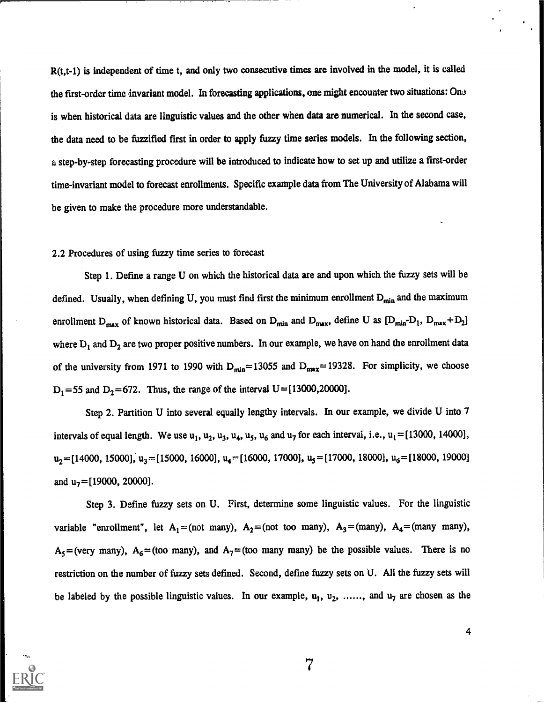R(t,t-1) is independent of time t, and only two consecutive times are involved in the model, it is called the first -order time invariant model. In forecasting applications, one might encounter two situations: One is when historical data are linguistic values and the other when data are numerical. In the second case, the data need to be fuzzified first in order to apply fuzzy time series models. In the following section, a step-by-step forecasting procedure will be introduced to indicate how to set up and utilize a first-order time-invariant model to forecast enrollments. Specific example data from The University of Alabama will be given to make the procedure more understandable.

#### 2.2 Procedures of using fuzzy time series to forecast

Step 1. Define a range U on which the historical data are and upon which the fuzzy sets will be defined. Usually, when defining U, you must find first the minimum enrollment  $D_{min}$  and the maximum enrollment D<sub>max</sub> of known historical data. Based on D<sub>min</sub> and D<sub>max</sub>, define U as  $[D_{min}-D_1, D_{max}+D_2]$ where  $D_1$  and  $D_2$  are two proper positive numbers. In our example, we have on hand the enrollment data of the university from 1971 to 1990 with  $D_{min}= 13055$  and  $D_{max}= 19328$ . For simplicity, we choose  $D_1 = 55$  and  $D_2 = 672$ . Thus, the range of the interval  $U = [13000, 20000]$ .

Step 2. Partition U into several equally lengthy intervals. In our example, we divide U into 7 intervals of equal length. We use  $u_1$ ,  $u_2$ ,  $u_3$ ,  $u_4$ ,  $u_5$ ,  $u_6$  and  $u_7$  for each interval, i.e.,  $u_1 = [13000, 14000]$ ,  $u_2 = [14000, 15000], u_3 = [15000, 16000], u_4 = [16000, 17000], u_5 = [17000, 18000], u_6 = [18000, 19000]$ and  $u_7 = [19000, 20000]$ .

Step 3. Define fuzzy sets on U. First, determine some linguistic values. For the linguistic variable "enrollment", let  $A_1 = (not many)$ ,  $A_2 = (not too many)$ ,  $A_3 = (many)$ ,  $A_4 = (many many)$ ,  $A_5$ =(very many),  $A_6$ =(too many), and  $A_7$ =(too many many) be the possible values. There is no restriction on the number of fuzzy sets defined. Second, define fuzzy sets on U. All the fuzzy sets will be labeled by the possible linguistic values. In our example,  $u_1, u_2, \ldots,$  and  $u_7$  are chosen as the

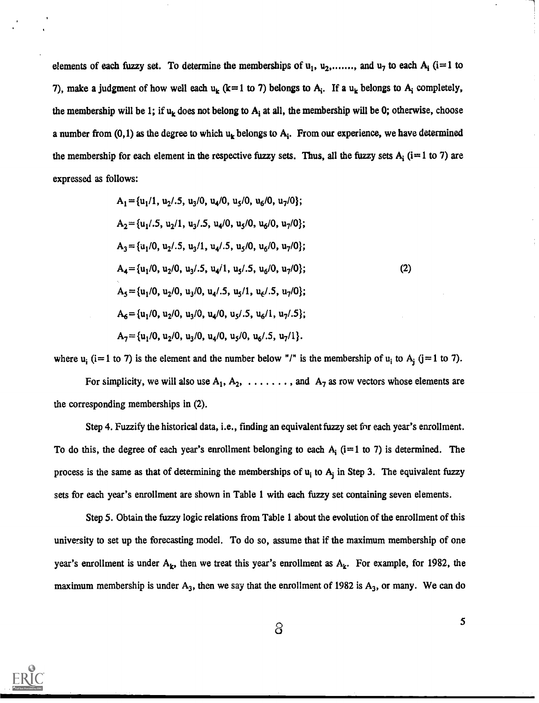elements of each fuzzy set. To determine the memberships of  $u_1, u_2, \ldots,$  and  $u_7$  to each  $A_i$  (i=1 to 7), make a judgment of how well each  $u_k$  (k=1 to 7) belongs to  $A_i$ . If a  $u_k$  belongs to  $A_i$  completely, the membership will be 1; if  $u_k$  does not belong to  $A_i$  at all, the membership will be 0; otherwise, choose a number from (0,1) as the degree to which  $u_k$  belongs to  $A_i$ . From our experience, we have determined the membership for each element in the respective fuzzy sets. Thus, all the fuzzy sets  $A_i$  (i=1 to 7) are expressed as follows:

$$
A_1 = \{u_1/1, u_2/0.5, u_3/0, u_4/0, u_5/0, u_6/0, u_7/0\};
$$
  
\n
$$
A_2 = \{u_1/0, u_2/1, u_3/0.5, u_4/0, u_5/0, u_6/0, u_7/0\};
$$
  
\n
$$
A_3 = \{u_1/0, u_2/0.5, u_3/1, u_4/0.5, u_5/0, u_6/0, u_7/0\};
$$
  
\n
$$
A_4 = \{u_1/0, u_2/0, u_3/0.5, u_4/1, u_5/0.5, u_6/0, u_7/0\};
$$
  
\n
$$
A_5 = \{u_1/0, u_2/0, u_3/0, u_4/0.5, u_5/1, u_6/0.5, u_7/0\};
$$
  
\n
$$
A_6 = \{u_1/0, u_2/0, u_3/0, u_4/0, u_5/0.5, u_6/1, u_7/0.5\};
$$
  
\n
$$
A_7 = \{u_1/0, u_2/0, u_3/0, u_4/0, u_5/0, u_6/0.5, u_7/1\}.
$$

where  $u_i$  (i=1 to 7) is the element and the number below "/" is the membership of  $u_i$  to  $A_j$  (j=1 to 7).

For simplicity, we will also use  $A_1, A_2, \ldots, A_n$  and  $A_7$  as row vectors whose elements are the corresponding memberships in (2).

Step 4. Fuzzify the historical data, i.e., finding an equivalent fuzzy set for each year's enrollment. To do this, the degree of each year's enrollment belonging to each  $A_i$  (i=1 to 7) is determined. The process is the same as that of determining the memberships of  $u_i$  to  $A_j$  in Step 3. The equivalent fuzzy sets for each year's enrollment are shown in Table 1 with each fuzzy set containing seven elements.

Step 5. Obtain the fuzzy logic relations from Table 1 about the evolution of the enrollment of this university to set up the forecasting model. To do so, assume that if the maximum membership of one year's enrollment is under  $A_k$ , then we treat this year's enrollment as  $A_k$ . For example, for 1982, the maximum membership is under  $A_3$ , then we say that the enrollment of 1982 is  $A_3$ , or many. We can do



**a** a set of  $\alpha$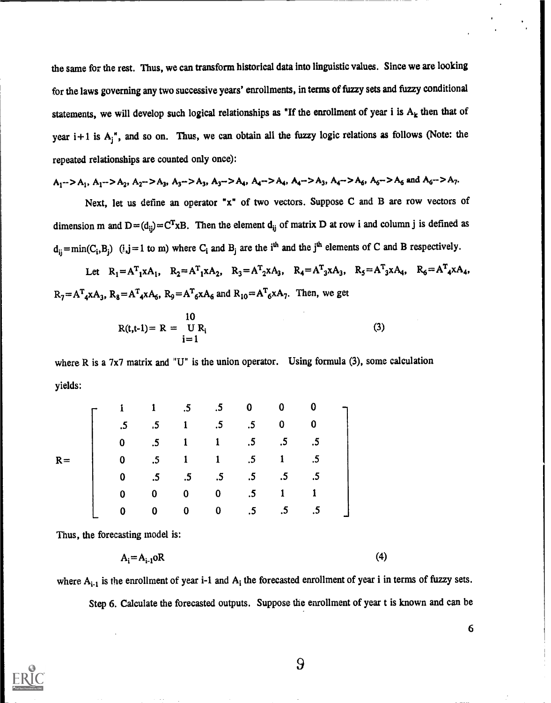the same for the rest. Thus, we can transform historical data into linguistic values. Since we are looking for the laws governing any two successive years' enrollments, in terms of fuzzy sets and fuzzy conditional statements, we will develop such logical relationships as "If the enrollment of year i is  $A_k$  then that of year  $i + 1$  is  $A_j$ ", and so on. Thus, we can obtain all the fuzzy logic relations as follows (Note: the repeated relationships are counted only once):

$$
A_1 - \ge A_1, A_1 - \ge A_2, A_2 - \ge A_3, A_3 - \ge A_3, A_3 - \ge A_4, A_4 - \ge A_4, A_4 - \ge A_3, A_4 - \ge A_6, A_6 - \ge A_6 \text{ and } A_6 - \ge A_7.
$$

Next, let us define an operator "x" of two vectors. Suppose C and B are row vectors of dimension m and  $D=(d_{ij})=C^{T}xB$ . Then the element  $d_{ij}$  of matrix D at row i and column j is defined as  $d_{ij} = min(C_i, B_j)$   $(i, j = 1 \text{ to } m)$  where  $C_i$  and  $B_j$  are the i<sup>th</sup> and the j<sup>th</sup> elements of C and B respectively.

Let  $R_1 = A_1^T A_1, R_2 = A_1^T A_2, R_3 = A_2^T A_3, R_4 = A_3^T A_3, R_5 = A_3^T A_4, R_6 = A_4^T A_4$  $R_7 = A_{4}^T A_{3} A_{3}$ ,  $R_8 = A_{4}^T A_{4} A_{6}$ ,  $R_9 = A_{6}^T A_{6} A_{6}$  and  $R_{10} = A_{6}^T A_{6} A_{7}$ . Then, we get

$$
R(t,t-1) = R = \bigcup_{i=1}^{10} R_i
$$
 (3)

where R is a 7x7 matrix and "U" is the union operator. Using formula (3), some calculation yields:

|       |    |                 | .5              | $.5\phantom{0}$ | 0               | 0         | 0  |  |
|-------|----|-----------------|-----------------|-----------------|-----------------|-----------|----|--|
|       | .5 | $.5\phantom{0}$ | $\mathbf{1}$    | .5              | .5              | 0         | 0  |  |
|       | 0  | $\cdot$ 5       | $\mathbf{1}$    | $\mathbf{1}$    | $.5\,$          | .5        | .5 |  |
| $R =$ | 0  | $\cdot$ 5       | 1               | $\mathbf{1}$    | $.5\,$          | 1         |    |  |
|       | 0  | .5              | $.5\phantom{0}$ | $.5\phantom{0}$ | $.5\phantom{0}$ | $.5\,$    | .5 |  |
|       | 0  | 0               | 0               | 0               | $.5\,$          | 1         |    |  |
|       | 0  | 0               | 0               | 0               | .5              | $\cdot$ 5 | .5 |  |

Thus, the forecasting model is:

$$
A_i = A_{i-1} \circ R \tag{4}
$$

where  $A_{i-1}$  is the enrollment of year i-1 and  $A_i$  the forecasted enrollment of year i in terms of fuzzy sets. Step 6. Calculate the forecasted outputs. Suppose the enrollment of year t is known and can be

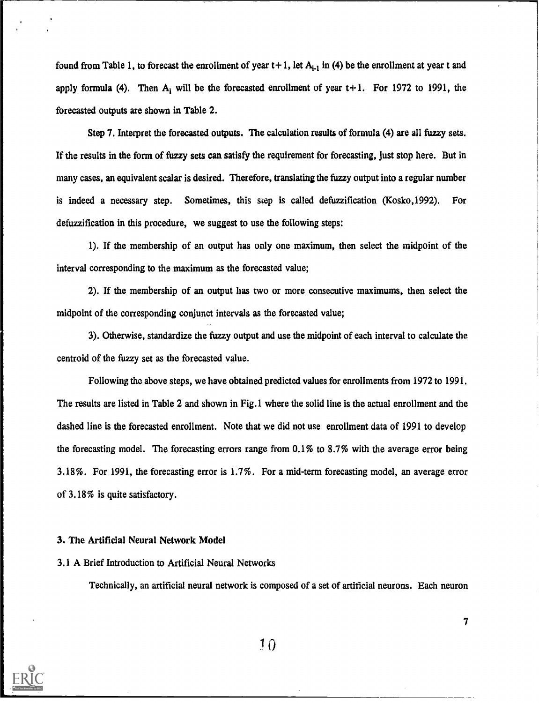found from Table 1, to forecast the enrollment of year  $t+1$ , let  $A_{i-1}$  in (4) be the enrollment at year t and apply formula (4). Then  $A_i$  will be the forecasted enrollment of year  $t+1$ . For 1972 to 1991, the forecasted outputs are shown in Table 2.

Step 7. Interpret the forecasted outputs. The calculation results of formula (4) are all fuzzy sets. If the results in the form of fuzzy sets can satisfy the requirement for forecasting, just stop here. But in many cases, an equivalent scalar is desired. Therefore, translating the fuzzy output into a regular number is indeed a necessary step. Sometimes, this step is called defuzzification (Kosko, 1992). For defuzzification in this procedure, we suggest to use the following steps:

1). If the membership of an output has only one maximum, then select the midpoint of the interval corresponding to the maximum as the forecasted value;

2). If the membership of an output has two or more consecutive maximums, then select the midpoint of the corresponding conjunct intervals as the forecasted value;

3). Otherwise, standardize the fuzzy output and use the midpoint of each interval to calculate the centroid of the fuzzy set as the forecasted value.

Following the above steps, we have obtained predicted values for enrollments from 1972 to 1991. The results are listed in Table 2 and shown in Fig.1 where the solid line is the actual enrollment and the dashed line is the forecasted enrollment. Note that we did not use enrollment data of 1991 to develop the forecasting model. The forecasting errors range from 0.1% to 8.7% with the average error being 3.18%. For 1991, the forecasting error is 1.7%. For a mid-term forecasting model, an average error of 3.18% is quite satisfactory.

### 3. The Artificial Neural Network Model

# 3.1 A Brief Introduction to Artificial Neural Networks

Technically, an artificial neural network is composed of a set of artificial neurons. Each neuron

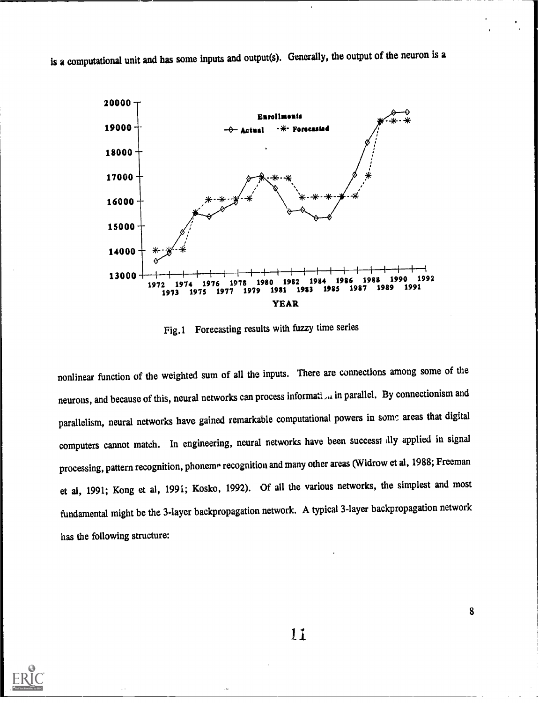is a computational unit and has some inputs and output(s). Generally, the output of the neuron is a



Fig.1 Forecasting results with fuzzy time series

nonlinear function of the weighted sum of all the inputs. There are connections among some of the neurons, and because of this, neural networks can process informati,.. in parallel. By connectionism and parallelism, neural networks have gained remarkable computational powers in some areas that digital computers cannot match. In engineering, neural networks have been successi illy applied in signal processing, pattern recognition, phoneme recognition and many other areas (Widrow et al, 1988; Freeman et al, 1991; Kong et al, 1991; Kosko, 1992). Of all the various networks, the simplest and most fundamental might be the 3-layer backpropagation network. A typical 3-layer backpropagation network has the following structure:

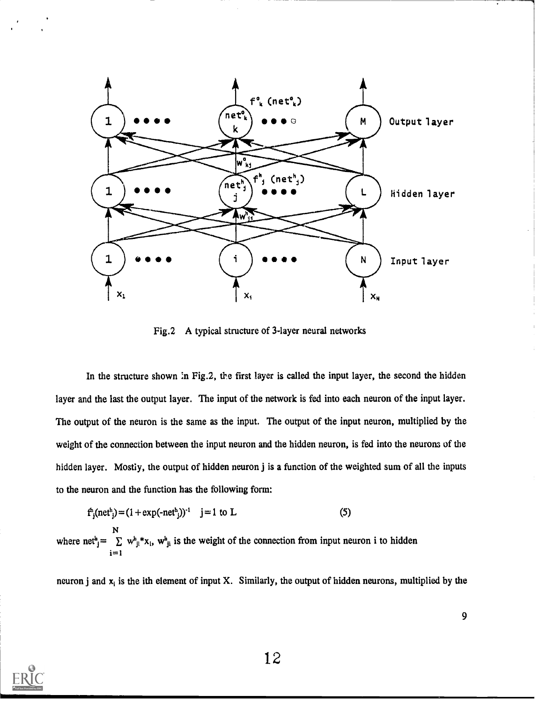

Fig.2 A typical structure of 3-layer neural networks

In the structure shown in Fig.2, the first layer is called the input layer, the second the hidden layer and the last the output layer. The input of the network is fed into each neuron of the input layer. The output of the neuron is the same as the input. The output of the input neuron, multiplied by the weight of the connection between the input neuron and the hidden neuron, is fed into the neurons of the hidden layer. Mostiy, the output of hidden neuron j is a function of the weighted sum of all the inputs to the neuron and the function has the following form:

$$
f_j(\text{net}^h_j) = (1 + \exp(-\text{net}^h_j))^{-1} \quad j = 1 \text{ to } L
$$
 (5)  
\n
$$
N
$$
\nwhere net<sup>h</sup><sub>j</sub> =  $\sum_{j=1}^{N} w_{ji}^h * x_i$ ,  $w_{ji}^h$  is the weight of the connection from input neuron i to hidden

neuron j and  $x_i$  is the ith element of input X. Similarly, the output of hidden neurons, multiplied by the

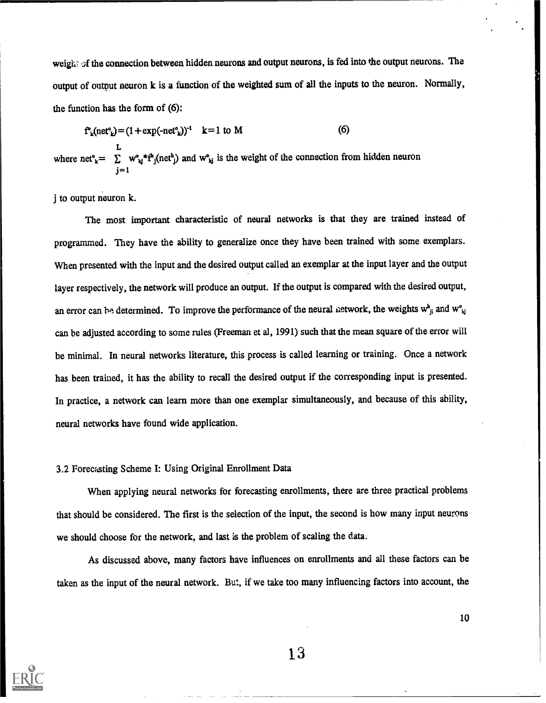weight of the connection between hidden neurons and output neurons, is fed into the output neurons. The output of output neuron k is a function of the weighted sum of all the inputs to the neuron. Normally, the function has the form of (6):

$$
f'_{k}(net'_{k}) = (1 + exp(-net'_{k}))^{-1} \quad k = 1 \text{ to } M
$$
 (6)

L where net<sup>o</sup><sub>k</sub>=  $\sum w_{kj}^*f_j(\text{net}_j^*)$  and  $w_{kj}^*$  is the weight of the connection from hidden neuron  $j=1$ 

j to output neuron k.

The most important characteristic of neural networks is that they are trained instead of programmed. They have the ability to generalize once they have been trained with some exemplars. When presented with the input and the desired output called an exemplar at the input layer and the output layer respectively, the network will produce an output. If the output is compared with the desired output, an error can be determined. To improve the performance of the neural network, the weights  $w_{ji}^h$  and  $w_{ij}^e$ can be adjusted according to some rules (Freeman et al, 1991) such that the mean square of the error will be minimal. In neural networks literature, this process is called learning or training. Once a network has been trained, it has the ability to recall the desired output if the corresponding input is presented. In practice, a network can learn more than one exemplar simultaneously, and because of this ability, neural networks have found wide application.

#### 3.2 Forecasting Scheme I: Using Original Enrollment Data

When applying neural networks for forecasting enrollments, there are three practical problems that should be considered. The first is the selection of the input, the second is how many input neurons we should choose for the network, and last is the problem of scaling the data.

As discussed above, many factors have influences on enrollments and all these factors can be taken as the input of the neural network. But, if we take too many influencing factors into account, the

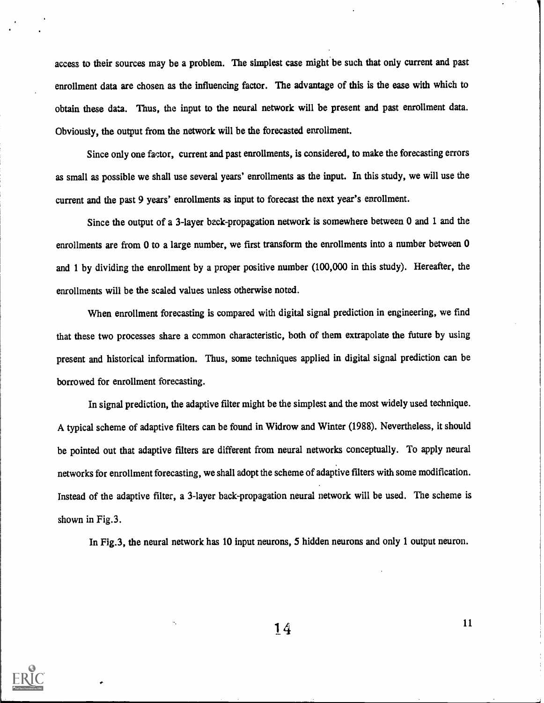access to their sources may be a problem. The simplest case might be such that only current and past enrollment data are chosen as the influencing factor. The advantage of this is the ease with which to obtain these data. Thus, the input to the neural network will be present and past enrollment data. Obviously, the output from the network will be the forecasted enrollment.

Since only one factor, current and past enrollments, is considered, to make the forecasting errors as small as possible we shall use several years' enrollments as the input. In this study, we will use the current and the past 9 years' enrollments as input to forecast the next year's enrollment.

Since the output of a 3-layer beck propagation network is somewhere between 0 and 1 and the enrollments are from 0 to a large number, we first transform the enrollments into a number between 0 and 1 by dividing the enrollment by a proper positive number (100,000 in this study). Hereafter, the enrollments will be the scaled values unless otherwise noted.

When enrollment forecasting is compared with digital signal prediction in engineering, we find that these two processes share a common characteristic, both of them extrapolate the future by using present and historical information. Thus, some techniques applied in digital signal prediction can be borrowed for enrollment forecasting.

In signal prediction, the adaptive filter might be the simplest and the most widely used technique. A typical scheme of adaptive filters can be found in Widrow and Winter (1988). Nevertheless, it should be pointed out that adaptive filters are different from neural networks conceptually. To apply neural networks for enrollment forecasting, we shall adopt the scheme of adaptive filters with some modification. Instead of the adaptive filter, a 3-layer back-propagation neural network will be used. The scheme is shown in Fig.3.

In Fig.3, the neural network has 10 input neurons, 5 hidden neurons and only 1 output neuron.

 $14$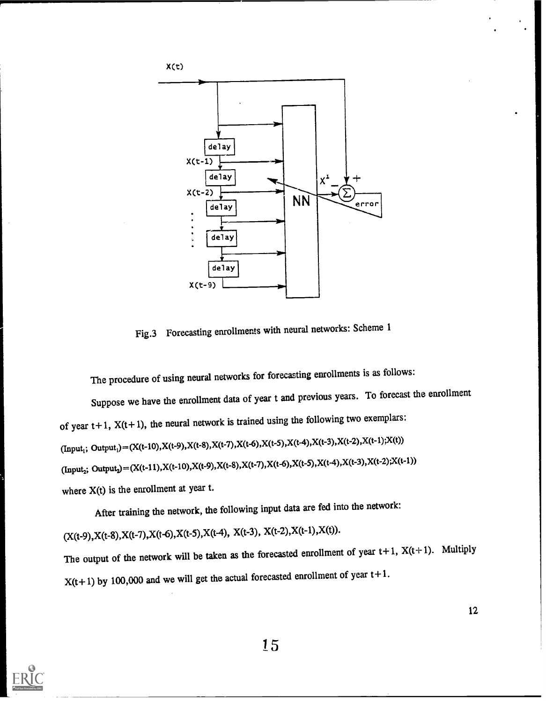

Fig.3 Forecasting enrollments with neural networks: Scheme 1

The procedure of using neural networks for forecasting enrollments is as follows:

Suppose we have the enrollment data of year t and previous years. To forecast the enrollment of year  $t+1$ ,  $X(t+1)$ , the neural network is trained using the following two exemplars:  $(Input_1; Output_1) = (X(t-10), X(t-9), X(t-8), X(t-7), X(t-6), X(t-5), X(t-4), X(t-3), X(t-2), X(t-1); X(t))$  $(Input_2; Output_2) = (X(t-11), X(t-10), X(t-9), X(t-8), X(t-7), X(t-6), X(t-5), X(t-4), X(t-3), X(t-2); X(t-1))$ where  $X(t)$  is the enrollment at year t.

After training the network, the following input data are fed into the network:

 $(X(t-9), X(t-8), X(t-7), X(t-6), X(t-5), X(t-4), X(t-3), X(t-2), X(t-1), X(t)).$ 

The output of the network will be taken as the forecasted enrollment of year  $t+1$ ,  $X(t+1)$ . Multiply  $X(t+1)$  by 100,000 and we will get the actual forecasted enrollment of year  $t+1$ .



re e s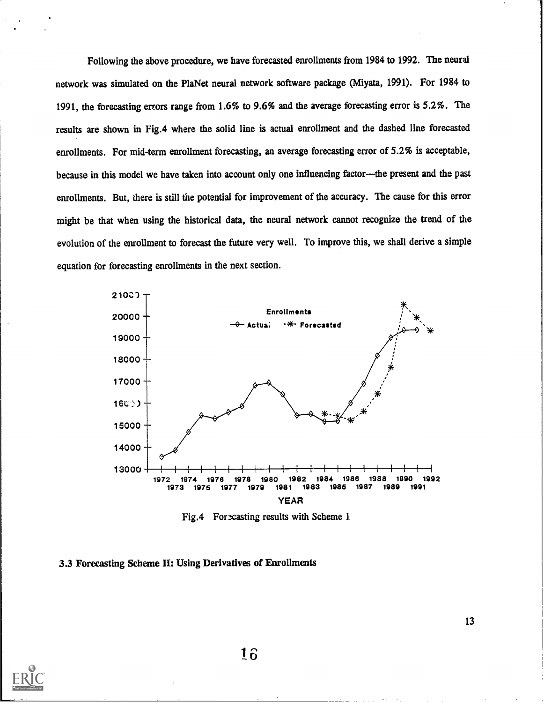Following the above procedure, we have forecasted enrollments from 1984 to 1992. The neural network was simulated on the Pla Net neural network software package (Miyata, 1991). For 1984 to 1991, the forecasting errors range from 1.6% to 9.6% and the average forecasting error is 5.2%. The results are shown in Fig.4 where the solid line is actual enrollment and the dashed line forecasted enrollments. For mid-term enrollment forecasting, an average forecasting error of 5.2% is acceptable, because in this model we have taken into account only one influencing factor---the present and the past enrollments. But, there is still the potential for improvement of the accuracy. The cause for this error might be that when using the historical data, the neural network cannot recognize the trend of the evolution of the enrollment to forecast the future very well. To improve this, we shall derive a simple equation for forecasting enrollments in the next section.



Fig.4 Forecasting results with Scheme 1.

# 3.3 Forecasting Scheme II: Using Derivatives of Enrollments

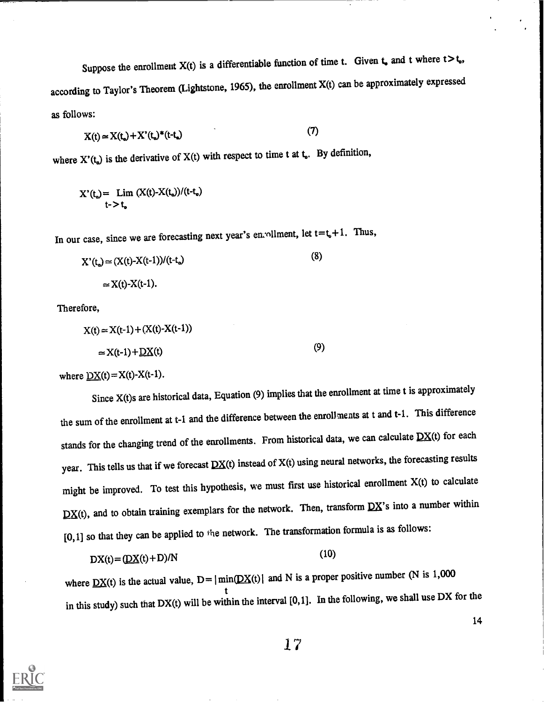Suppose the enrollment  $X(t)$  is a differentiable function of time t. Given  $t_0$  and t where  $t > t_0$ , according to Taylor's Theorem (Lightstone, 1965), the enrollment X(t) can be approximately expressed as follows:

$$
X(t) \approx X(t_0) + X'(t_0)^*(t-t_0)
$$
\n(7)

where  $X'(t_0)$  is the derivative of  $X(t)$  with respect to time t at  $t_0$ . By definition,

$$
X'(t_{\bullet}) = \lim_{t \to t_{\bullet}} (X(t)-X(t_{\bullet}))/(t-t_{\bullet})
$$

In our case, since we are forecasting next year's enrollment, let  $t=t_0+1$ . Thus,

$$
X'(t_{\bullet}) \approx (X(t)-X(t-1))/(t-t_{\bullet})
$$
\n
$$
\approx X(t)-X(t-1).
$$
\n(8)

Therefore,

$$
X(t) \approx X(t-1) + (X(t) - X(t-1))
$$
  

$$
\approx X(t-1) + \underline{DX}(t)
$$
 (9)

where  $\underline{DX}(t) = X(t) - X(t-1)$ .

Since X(t)s are historical data, Equation (9) implies that the enrollment at time t is approximately the sum of the enrollment at t-1 and the difference between the enrollments at t and t-1. This difference stands for the changing trend of the enrollments. From historical data, we can calculate  $DX(t)$  for each year. This tells us that if we forecast  $DX(t)$  instead of  $X(t)$  using neural networks, the forecasting results might be improved. To test this hypothesis, we must first use historical enrollment X(t) to calculate  $DX(t)$ , and to obtain training exemplars for the network. Then, transform  $DX$ 's into a number within  $[0,1]$  so that they can be applied to the network. The transformation formula is as follows:

$$
DX(t) = (\underline{DX}(t) + D)/N
$$
\n(10)

where  $DX(t)$  is the actual value,  $D= |min(DX(t))|$  and N is a proper positive number (N is 1,000 t in this study) such that DX(t) will be within the interval [0,1]. In the following, we shall use DX for the

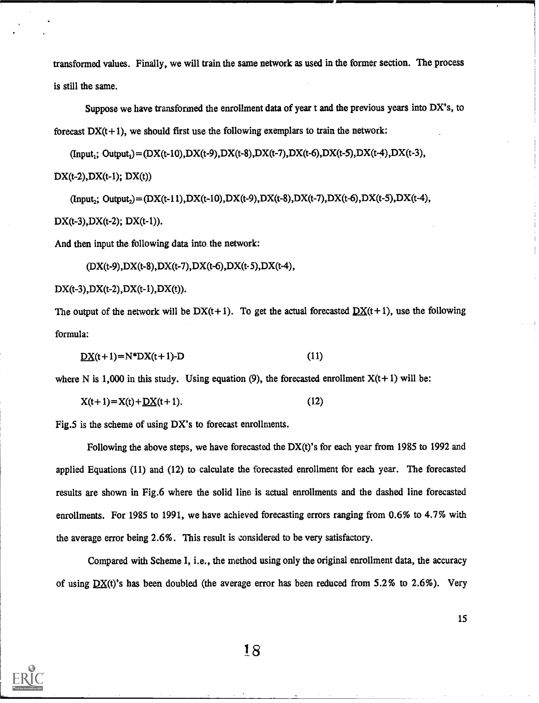transformed values. Finally, we will train the same network as used in the former section. The process is still the same.

Suppose we have transformed the enrollment data of year t and the previous years into DX's, to forecast  $DX(t+1)$ , we should first use the following exemplars to train the network:

 $(Input_i; Output_j) = (DX(t-10),DX(t-9),DX(t-8),DX(t-7),DX(t-6),DX(t-5),DX(t-4),DX(t-3),$  $DX(t-2),DX(t-1); DX(t))$ 

 $(Input; Output) = (DX(t-11),DX(t-10),DX(t-9),DX(t-8),DX(t-7),DX(t-6),DX(t-5),DX(t-4),$  $DX(t-3),DX(t-2); DX(t-1)).$ 

And then input the following data into the network:

 $(DX(t-9),DX(t-8),DX(t-7),DX(t-6),DX(t-5),DX(t-4),$ 

 $DX(t-3),DX(t-2),DX(t-1),DX(t)).$ 

The output of the network will be  $DX(t+1)$ . To get the actual forecasted  $DX(t+1)$ , use the following formula:

$$
DX(t+1) = N*DX(t+1)-D
$$
 (11)

where N is 1,000 in this study. Using equation (9), the forecasted enrollment  $X(t+1)$  will be:

$$
X(t+1) = X(t) + \underline{DX}(t+1).
$$
 (12)

Fig.5 is the scheme of using DX's to forecast enrollments.

Following the above steps, we have forecasted the DX(t)'s for each year from 1985 to 1992 and applied Equations  $(11)$  and  $(12)$  to calculate the forecasted enrollment for each year. The forecasted results are shown in Fig.6 where the solid line is actual enrollments and the dashed line forecasted enrollments. For 1985 to 1991, we have achieved forecasting errors ranging from 0.6% to 4.7% with the average error being 2.6%. This result is considered to be very satisfactory.

Compared with Scheme 1, i.e., the method using only the original enrollment data, the accuracy of using  $DX(t)'s$  has been doubled (the average error has been reduced from 5.2% to 2.6%). Very

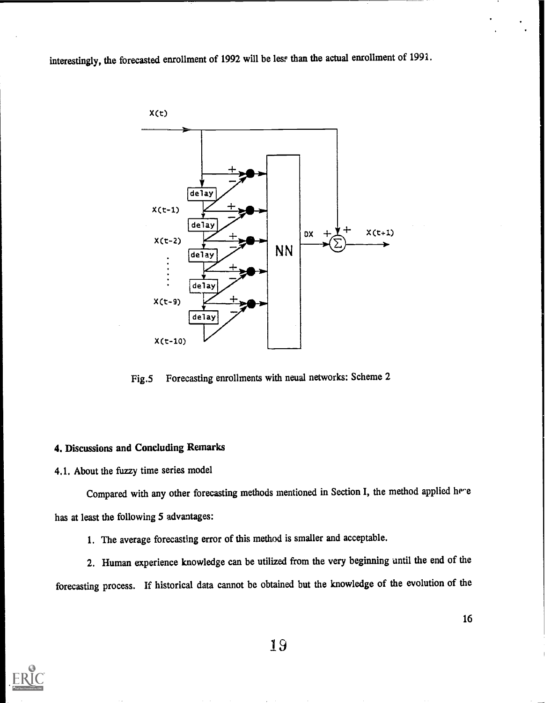interestingly, the forecasted enrollment of 1992 will be less than the actual enrollment of 1991.



Fig.5 Forecasting enrollments with neual networks: Scheme 2

# 4. Discussions and Concluding Remarks

4.1. About the fuzzy time series model

Compared with any other forecasting methods mentioned in Section I, the method applied here has at least the following 5 advantages:

1. The average forecasting error of this method is smaller and acceptable.

2. Human experience knowledge can be utilized from the very beginning until the end of the forecasting process. If historical data cannot be obtained but the knowledge of the evolution of the

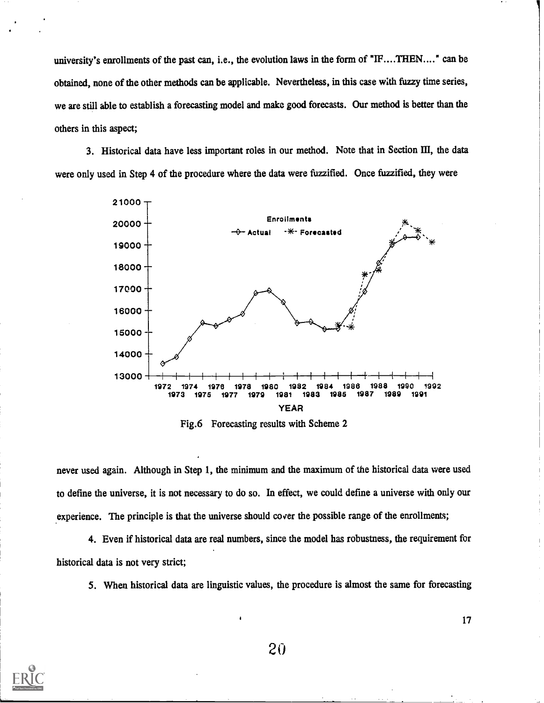university's enrollments of the past can, i.e., the evolution laws in the form of "IF....THEN...." can be obtained, none of the other methods can be applicable. Nevertheless, in this case with fuzzy time series, we are still able to establish a forecasting model and make good forecasts. Our method is better than the others in this aspect;

3. Historical data have less important roles in our method. Note that in Section III, the data were only used in Step 4 of the procedure where the data were fuzzified. Once fuzzified, they were



Fig.6 Forecasting results with Scheme 2

never used again. Although in Step 1, the minimum and the maximum of the historical data were used to define the universe, it is not necessary to do so. In effect, we could define a universe with only our experience. The principle is that the universe should cover the possible range of the enrollments;

4. Even if historical data are real numbers, since the model has robustness, the requirement for historical data is not very strict;

5. When historical data are linguistic values, the procedure is almost the same for forecasting

20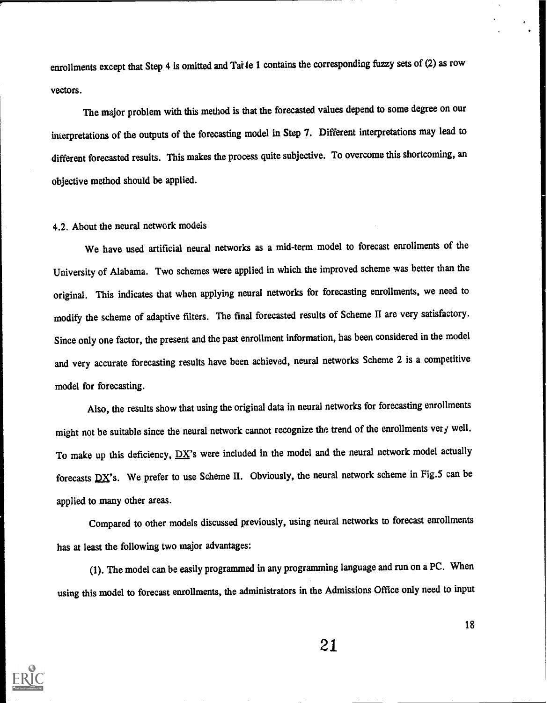enrollments except that Step 4 is omitted and Tai le 1 contains the corresponding fuzzy sets of (2) as row vectors.

The major problem with this method is that the forecasted values depend to some degree on our interpretations of the outputs of the forecasting model in Step 7. Different interpretations may lead to different forecasted results. This makes the process quite subjective. To overcome this shortcoming, an objective method should be applied.

### 4.2. About the neural network models

We have used artificial neural networks as a mid-term model to forecast enrollments of the University of Alabama. Two schemes were applied in which the improved scheme was better than the original. This indicates that when applying neural networks for forecasting enrollments, we need to modify the scheme of adaptive filters. The final forecasted results of Scheme II are very satisfactory. Since only one factor, the present and the past enrollment information, has been considered in the model and very accurate forecasting results have been achieved, neural networks Scheme 2 is a competitive model for forecasting.

Also, the results show that using the original data in neural networks for forecasting enrollments might not be suitable since the neural network cannot recognize the trend of the enrollments very well. To make up this deficiency,  $\overline{DX}$ 's were included in the model and the neural network model actually forecasts  $DX's$ . We prefer to use Scheme II. Obviously, the neural network scheme in Fig.5 can be applied to many other areas.

Compared to other models discussed previously, using neural networks to forecast enrollments has at least the following two major advantages:

(1). The model can be easily programmed in any programming language and run on a PC. When using this model to forecast enrollments, the administrators in the Admissions Office only need to input

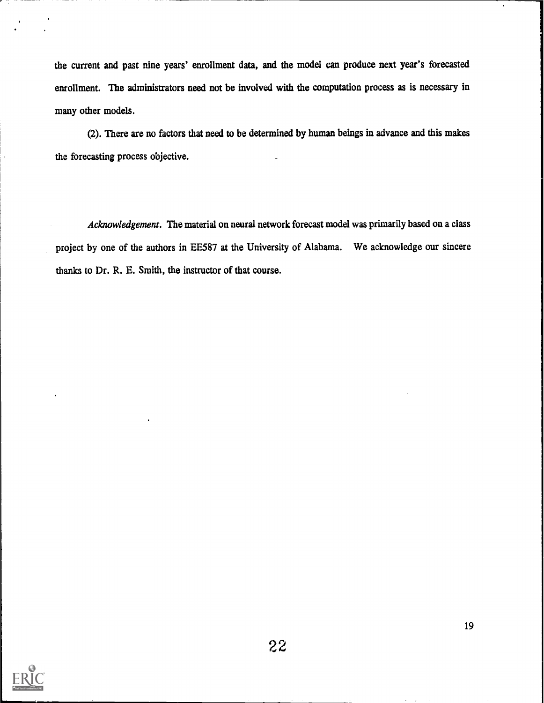the current and past nine years' enrollment data, and the model can produce next year's forecasted enrollment. The administrators need not be involved with the computation process as is necessary in many other models.

(2). There are no factors that need to be determined by human beings in advance and this makes the forecasting process objective.

Acknowledgement. The material on neural network forecast model was primarily based on a class project by one of the authors in EE587 at the University of Alabama. We acknowledge our sincere thanks to Dr. R. E. Smith, the instructor of that course.

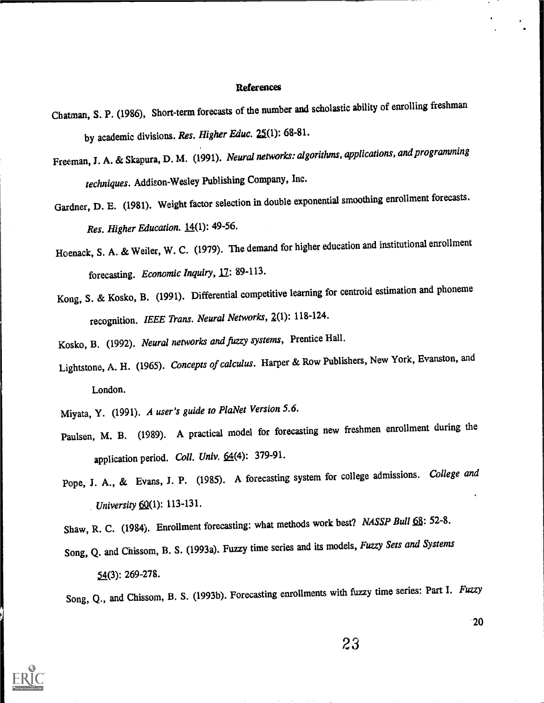#### References

- Chatman, S. P. (1986), Short-term forecasts of the number and scholastic ability of enrolling freshman by academic divisions. Res. Higher Educ. 25(1): 68-81.
- Freeman, J. A. & Skapura, D. M. (1991). Neural networks: algorithms, applications, and programming techniques. Addison-Wesley Publishing Company, Inc.
- Gardner, D. E. (1981). Weight factor selection in double exponential smoothing enrollment forecasts. Res. Higher Education. 14(1): 49-56.
- Hoenack, S. A. & Weiler, W. C. (1979). The demand for higher education and institutional enrollment forecasting. Economic Inquiry, 17: 89-113.
- Kong, S. & Kosko, B. (1991). Differential competitive learning for centroid estimation and phoneme recognition. IEEE Trans. Neural Networks, Z(1): 118-124.
- Kosko, B. (1992). Neural networks and fizzy systems, Prentice Hall.
- Lightstone, A. H. (1965). Concepts of calculus. Harper & Row Publishers, New York, Evanston, and London.
- Miyata, Y. (1991). A user's guide to PlaNet Version 5.6.
- Paulsen, M. B. (1989). A practical model for forecasting new freshmen enrollment during the application period. Coll. Univ. 64(4): 379-91.
- Pope, J. A., & Evans, J. P. (1985). A forecasting system for college admissions. College and University  $60(1)$ : 113-131.
- Shaw, R. C. (1984). Enrollment forecasting: what methods work best? NASSP Bull 68: 52-8.
- Song, Q. and Chissom, B. S. (1993a). Fuzzy time series and its models, Fuzzy Sets and Systems 54(3): 269-278.

Song, Q., and Chissom, B. S. (1993b). Forecasting enrollments with fuzzy time series: Part I. Fuzzy

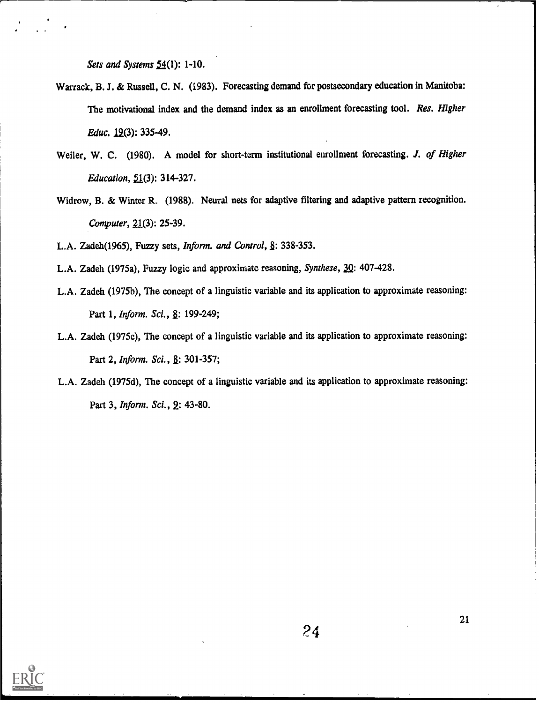Sets and Systems 54(1): 1-10.

- Warrack, B. J. & Russell, C. N. (1983). Forecasting demand for postsecondary education in Manitoba: The motivational index and the demand index as an enrollment forecasting tool. Res. Higher Educ. 12(3): 335-49.
- Weiler, W. C. (1980). A model for short-term institutional enrollment forecasting. J. of Higher Education, 51(3): 314-327.
- Widrow, B. & Winter R. (1988). Neural nets for adaptive filtering and adaptive pattern recognition. Computer, 21(3): 25-39.

L.A. Zadeh(1965), Fuzzy sets, Inform. and Control, §: 338-353.

- L.A. Zadeh (1975a), Fuzzy logic and approximate reasoning, Synthese, 30: 407-428.
- L.A. Zadeh (1975b), The concept of a linguistic variable and its application to approximate reasoning: Part 1, *Inform. Sci.*, 8: 199-249;
- L.A. Zadeh (1975c), The concept of a linguistic variable and its application to approximate reasoning: Part 2, *Inform. Sci.*, 8: 301-357;
- L.A. Zadeh (1975d), The concept of a linguistic variable and its application to approximate reasoning: Part 3, Inform. Sci., 2: 43-80.

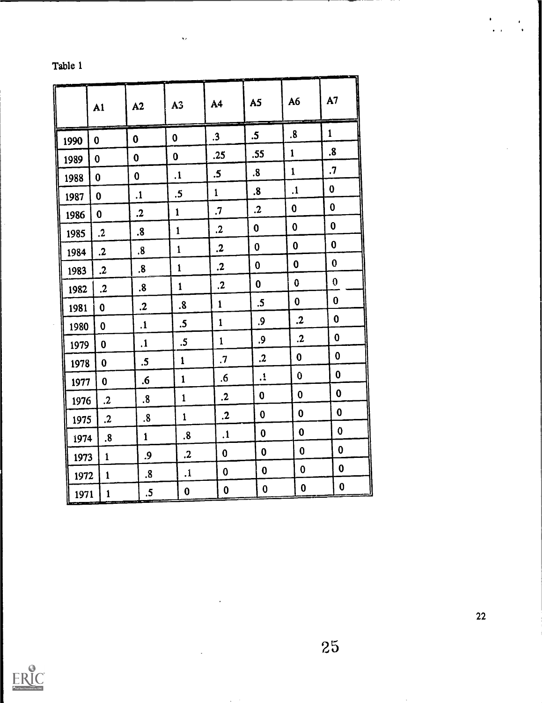| Table 1 |  |  |
|---------|--|--|
|         |  |  |

|      | A1                   | A2                      | A <sub>3</sub>    | A4            | A5                         | A6           | A <sub>7</sub>   |
|------|----------------------|-------------------------|-------------------|---------------|----------------------------|--------------|------------------|
| 1990 | $\bf{0}$             | $\boldsymbol{0}$        | $\mathbf 0$       | $\cdot$ 3     | .5 <sub>0</sub>            | .8           | $\mathbf{1}$     |
| 1989 | 0                    | $\mathbf 0$             | $\boldsymbol{0}$  | .25           | .55                        | $\mathbf{1}$ | $\boldsymbol{8}$ |
| 1988 | $\bf{0}$             | $\mathbf 0$             | $\cdot$           | $\mathbf{.5}$ | $\boldsymbol{.8}$          | $\mathbf{1}$ | $\cdot$          |
| 1987 | $\mathbf 0$          | $\mathbf{1}$            | $\cdot$ 5         | $\mathbf{1}$  | $\boldsymbol{8}$           | $\cdot$      | $\bf{0}$         |
| 1986 | $\mathbf{0}$         | $\cdot$                 | $\mathbf{1}$      | $\cdot$       | $\cdot$                    | $\mathbf 0$  | $\mathbf 0$      |
| 1985 | $\mathbf{.2}$        | $\boldsymbol{8}$        | $\mathbf{1}$      | $\cdot$       | $\mathbf 0$                | $\bf{0}$     | $\bf{0}$         |
| 1984 | $\mathbf{.2}$        | $\boldsymbol{8}$        | $\mathbf{1}$      | $\cdot$       | $\bf{0}$                   | $\mathbf 0$  | $\bf{0}$         |
| 1983 | $\boldsymbol{\cdot}$ | $\overline{\mathbf{8}}$ | $\mathbf{1}$      | $\cdot$       | $\bf{0}$                   | $\bf{0}$     | 0                |
| 1982 | $\cdot$              | $\boldsymbol{8}$        | $\mathbf{1}$      | $\cdot$       | $\mathbf 0$                | $\mathbf 0$  | $\boldsymbol{0}$ |
| 1981 | $\bf{0}$             | $\mathbf{.2}$           | $\boldsymbol{.8}$ | $\mathbf{1}$  | $\mathbf{.5}$              | $\bf{0}$     | $\bf{0}$         |
| 1980 | $\mathbf 0$          | $\cdot$                 | $.5\,$            | $\mathbf{1}$  | .9                         | $\cdot$      | $\mathbf 0$      |
| 1979 | $\bf{0}$             | $\mathbf{1}$ .          | $\cdot$ 5         | $\mathbf{1}$  | .9                         | $\cdot$      | $\bf{0}$         |
| 1978 | 0                    | $.5\,$                  | $\mathbf{1}$      | $\cdot$       | $\boldsymbol{\mathcal{L}}$ | $\mathbf 0$  | $\bf{0}$         |
| 1977 | $\mathbf 0$          | .6                      | $\mathbf{1}$      | .6            | $\cdot$                    | 0            | 0                |
| 1976 | $\cdot$              | $\boldsymbol{.8}$       | $\mathbf{1}$      | $\mathbf{.2}$ | $\mathbf 0$                | $\bf{0}$     | $\boldsymbol{0}$ |
| 1975 | $\mathbf{.2}$        | $\boldsymbol{.8}$       | $\mathbf{1}$      | $\cdot$       | $\bf{0}$                   | $\bf{0}$     | $\mathbf 0$      |
| 1974 | $\boldsymbol{8}$     | $\mathbf{1}$            | $\boldsymbol{.8}$ | $\cdot$       | $\bf{0}$                   | $\mathbf 0$  | $\bf{0}$         |
| 1973 | $\mathbf{1}$         | .9                      | $\cdot$           | 0             | $\bf{0}$                   | $\bf{0}$     | $\bf{0}$         |
| 1972 | $\mathbf{1}$         | $\boldsymbol{.8}$       | $\cdot$           | 0             | $\mathbf 0$                | $\bf{0}$     | $\bf{0}$         |
| 1971 | $\mathbf{1}$         | $.5\,$                  | 0                 | 0             | $\mathbf 0$                | $\mathbf 0$  | $\mathbf 0$      |

ų,

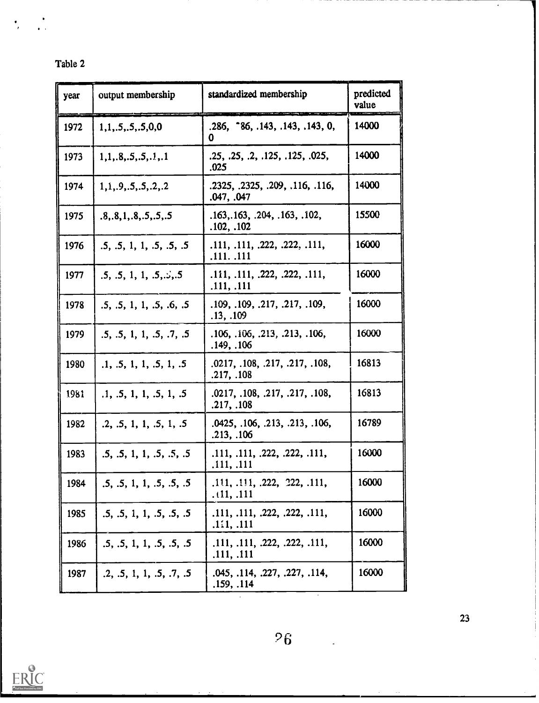| Table 2 |
|---------|
|         |

 $\frac{1}{\sqrt{2}}$ 

 $\ddot{\cdot}$ 

| year | output membership         | standardized membership                       | predicted<br>value |
|------|---------------------------|-----------------------------------------------|--------------------|
| 1972 | 1, 1, .5, .5, .5, 0, 0    | .286, 86, .143, .143, .143, 0,<br>0           | 14000              |
| 1973 | 1, 1, 1, 8, 5, 5, 5, 1, 1 | .25, .25, .2, .125, .125, .025,<br>.025       | 14000              |
| 1974 | 1.1., 9., 5., 5., 2., 2   | .2325, .2325, .209, .116, .116,<br>.047, .047 | 14000              |
| 1975 | .8, .8, 1, .8, .5, .5, .5 | .163, .163, .204, .163, .102,<br>.102, .102   | 15500              |
| 1976 | .5, .5, 1, 1, .5, .5, .5  | .111, .111, .222, .222, .111,<br>.111. .111   | 16000              |
| 1977 | .5, .5, 1, 1, .5, .5, .5  | .111, .111, .222, .222, .111,<br>.111, .111   | 16000              |
| 1978 | .5, .5, 1, 1, .5, .6, .5  | .109, .109, .217, .217, .109,<br>.13, .109    | 16000              |
| 1979 | .5, .5, 1, 1, .5, .7, .5  | .106, .106, .213, .213, .106,<br>.149, .106   | 16000              |
| 1980 | .1, .5, 1, 1, .5, 1, .5   | .0217, .108, .217, .217, .108,<br>.217, .108  | 16813              |
| 1981 | .1, .5, 1, 1, .5, 1, .5   | .0217, .108, .217, .217, .108,<br>.217, .108  | 16813              |
| 1982 | .2, .5, 1, 1, .5, 1, .5   | .0425, .106, .213, .213, .106,<br>.213, .106  | 16789              |
| 1983 | .5, .5, 1, 1, .5, .5, .5  | .111, .111, .222, .222, .111,<br>.111, .111   | 16000              |
| 1984 | .5, .5, 1, 1, .5, .5, .5  | .111, .111, .222, .222, .111,<br>.111, .111   | 16000              |
| 1985 | .5, .5, 1, 1, .5, .5, .5  | .111, .111, .222, .222, .111,<br>.111, .111   | 16000              |
| 1986 | .5, .5, 1, 1, .5, .5, .5  | .111, .111, .222, .222, .111,<br>.111, .111   | 16000              |
| 1987 | .2, .5, 1, 1, .5, .7, .5  | .045, .114, .227, .227, .114,<br>.159, .114   | 16000              |



 $\overline{26}$